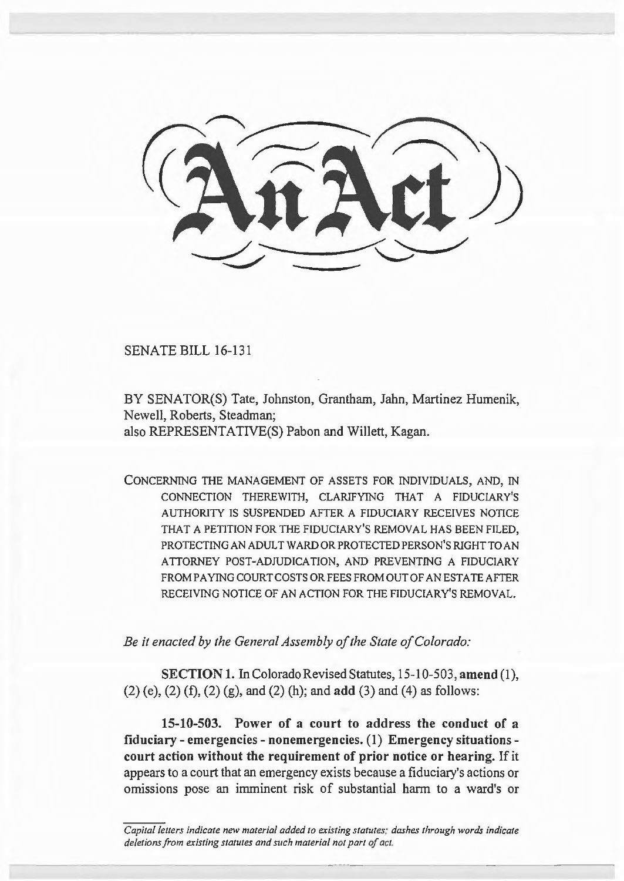SENATE BILL 16-131

BY SENATOR(S) Tate, Johnston, Grantham, Jahn, Martinez Humenik, Newell, Roberts, Steadman; also REPRESENTATIVE(S) Pabon and Willett, Kagan.

CONCERNING THE MANAGEMENT OF ASSETS FOR INDIVIDUALS, AND, IN CONNECTION THEREWITH, CLARIFYING THAT A FIDUCIARY'S AUTHORITY IS SUSPENDED AFTER A FIDUCIARY RECEIVES NOTICE THAT A PETITION FOR THE FIDUCIARY'S REMOVAL HAS BEEN FILED, PROTECTING AN ADULT WARD OR PROTECTED PERSON'S RIGHT TO AN ATTORNEY POST-ADJUDICATION, AND PREVENTING A FIDUCIARY FROM PAYING COURT COSTS OR FEES FROM OUT OF AN ESTATE AFTER RECEIVING NOTICE OF AN ACTION FOR THE FIDUCIARY'S REMOVAL.

*Be it enacted by the General Assembly of the State of Colorado:* 

**SECTION 1.** In Colorado Revised Statutes, 15-10-503, **amend** (I), (2) (e), (2) (f), (2) (g), and (2) (h); and **add** (3) and (4) as follows:

**15-10-503. Power of a court to address the conduct of a fiduciary - emergencies - nonemergencies. (1) Emergency situations court action without the requirement of prior notice or hearing.** If it appears to a court that an emergency exists because a fiduciary's actions or omissions pose an imminent risk of substantial harm to a ward's or

*Capital letters indicate new material added to existing statutes: dashes through words indicate deletions from existing statutes and such material not part of act.*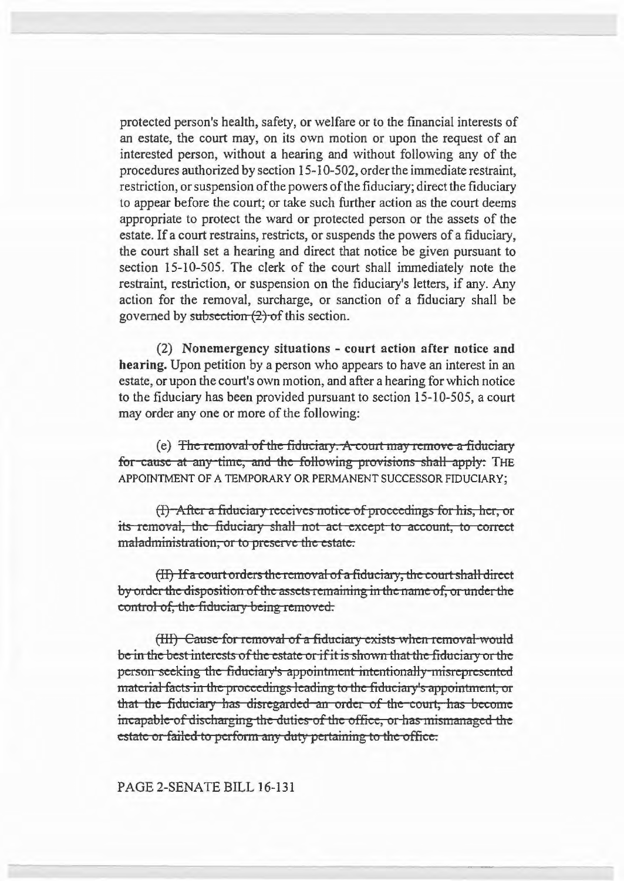protected person's health, safety, or welfare or to the financial interests of an estate, the court may, on its own motion or upon the request of an interested person, without a hearing and without following any of the procedures authorized by section 15-10-502, order the immediate restraint, restriction, or suspension of the powers of the fiduciary; direct the fiduciary to appear before the court; or take such further action as the court deems appropriate to protect the ward or protected person or the assets of the estate. If a court restrains, restricts, or suspends the powers of a fiduciary, the court shall set a hearing and direct that notice be given pursuant to section 15-10-505. The clerk of the court shall immediately note the restraint, restriction, or suspension on the fiduciary's letters, if any. Any action for the removal, surcharge, or sanction of a fiduciary shall be governed by subsection  $(2)$  of this section.

(2) Nonemergency situations - court action after notice and hearing. Upon petition by a person who appears to have an interest in an estate, or upon the court's own motion, and after a hearing for which notice to the fiduciary has been provided pursuant to section 15-10-505, a court may order any one or more of the following:

(e) The removal of the fiduciary. A court may remove a fiduciary for-cause at any-time, and the following provisions shall apply: THE APPOINTMENT OF A TEMPORARY OR PERMANENT SUCCESSOR FIDUCIARY;

(I) After a fiduciary receives notice of proceedings for his, her, or its removal, the fiduciary shall not act except to account, to correct maladministration, or to preserve the estate.

(II) If a court orders the removal of a fiduciary, the court shall direct by order the disposition of the assets remaining in the name of, or under the control of, the fiduciary being removed.

(III) Cause for removal of a fiduciary exists when removal would be in the best interests of the estate or if it is shown that the fiduciary or the person seeking the fiduciary's appointment intentionally misrepresented material facts in the proceedings leading to the fiduciary's appointment, or that the fiduciary has disregarded an order of the court, has become incapable of discharging the duties of the office, or has mismanaged the estate or failed to perform any duty pertaining to the office.

PAGE 2-SENATE BILL 16-131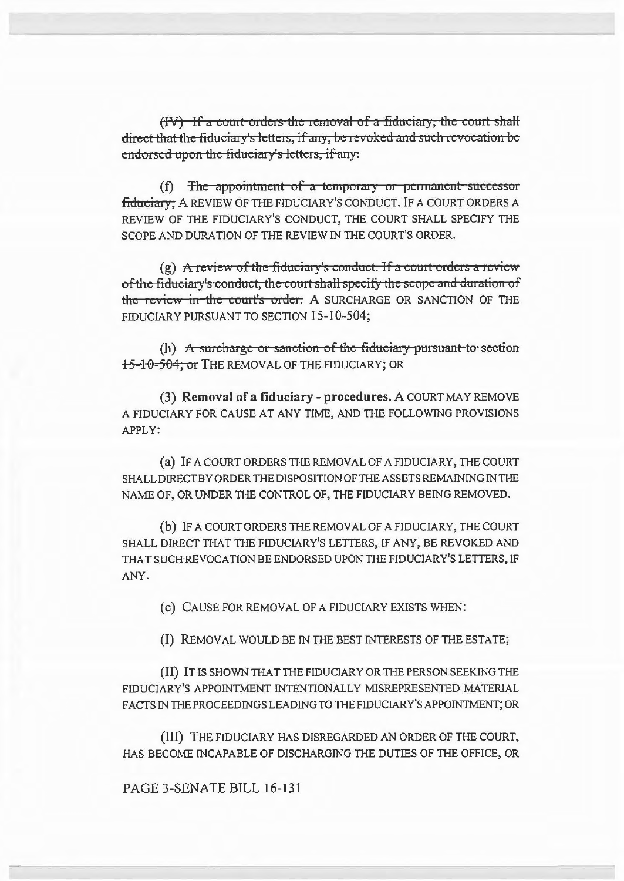(IV) If a court orders the removal of a fiduciary, the court shall direct that the fiduciary's letters, if any, be revoked and such revocation be endorsed upon the fiduciary's letters, if any.

 $(f)$  The appointment of a temporary or permanent successor fiduciary; A REVIEW OF THE FIDUCIARY'S CONDUCT. IF A COURT ORDERS A REVIEW OF THE FIDUCIARY'S CONDUCT, THE COURT SHALL SPECIFY THE SCOPE AND DURATION OF THE REVIEW IN THE COURT'S ORDER.

(g) A review of the fiduciary's conduct. If a court orders a review of the fiduciary's conduct, the court shall specify the scope and duration of the review in the court's order. A SURCHARGE OR SANCTION OF THE FIDUCIARY PURSUANT TO SECTION 15-10-504;

(h)  $\overline{A}$  surcharge or sanction of the fiduciary pursuant to section 15-10-504, 01 THE REMOVAL OF THE FIDUCIARY; OR

(3) Removal of a fiduciary - procedures. A COURT MAY REMOVE A FIDUCIARY FOR CAUSE AT ANY TIME, AND THE FOLLOWING PROVISIONS APPLY:

(a) IF A COURT ORDERS THE REMOVAL OF A FIDUCIARY, THE COURT SHALL DIRECT BY ORDER THE DISPOSITION OF THE ASSETS REMAINING IN THE NAME OF, OR UNDER THE CONTROL OF, THE FIDUCIARY BEING REMOVED.

(b) IF A COURT ORDERS THE REMOVAL OF A FIDUCIARY, THE COURT SHALL DIRECT THAT THE FIDUCIARY'S LETTERS, IF ANY, BE REVOKED AND THAT SUCH REVOCATION BE ENDORSED UPON THE FIDUCIARY'S LETTERS, IF ANY.

(c) CAUSE FOR REMOVAL OF A FIDUCIARY EXISTS WHEN:

(I) REMOVAL WOULD BE IN THE BEST INTERESTS OF THE ESTA TE;

(II) IT IS SHOWN THAT THE FIDUCIARY OR THE PERSON SEEKING THE FIDUCIARY'S APPOINTMENT INTENTIONALLY MISREPRESENTED MATERIAL FACTS IN THE PROCEEDINGS LEADING TO THE FIDUCIARY'S APPOINTMENT; OR

(III) THE FIDUCIARY HAS DISREGARDED AN ORDER OF THE COURT, HAS BECOME INCAPABLE OF DISCHARGING THE DUTIES OF THE OFFICE, OR

PAGE 3-SENATE BILL 16-131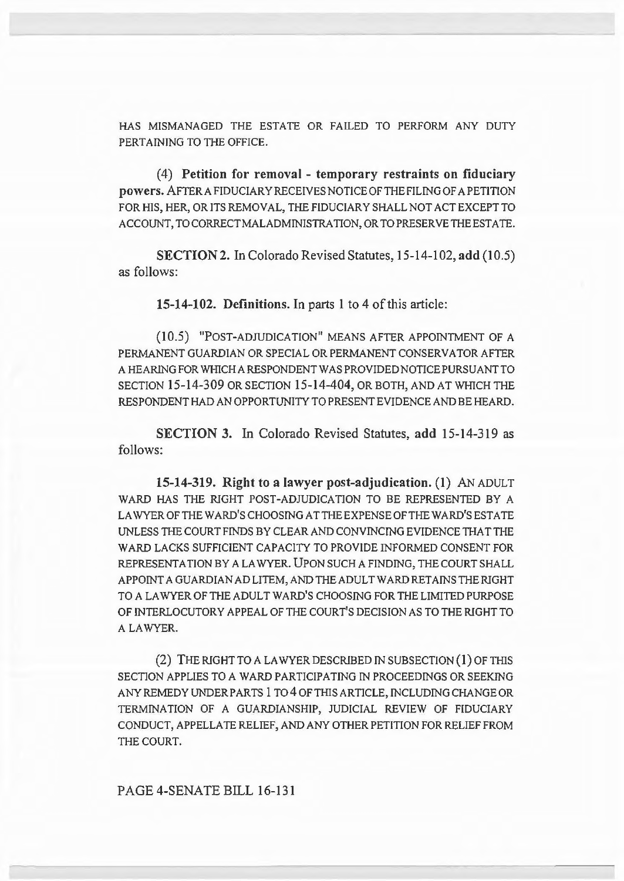HAS MISMANAGED THE ESTATE OR FAILED TO PERFORM ANY DUTY PERTAINING TO THE OFFICE.

(4) Petition for removal - temporary restraints on fiduciary powers. AFTERAFIDUCIARYRECEIVESNOTICEOFTHEFILINGOF A PETITION FOR HIS, HER, OR ITS REMOVAL, THE FIDUCIARY SHALL NOT ACT EXCEPT TO ACCOUNT, TO CORRECTMALADMINISTRA TION, OR TO PRESERVE THE ESTA TE.

SECTION 2. In Colorado Revised Statutes, 15-14-102, add (10.5) as follows:

15-14-102. Definitions. In parts I to 4 of this article:

(10.5) "POST-ADJUDICATION" MEANS AFTER APPOINTMENT OF A PERMANENT GUARDIAN OR SPECIAL OR PERMANENT CONSERVATOR AFTER A HEARING FOR WHICH A RESPONDENT WAS PROVIDED NOTICE PURSUANT TO SECTION 15-14-309 OR SECTION 15-14-404, OR BOTH, AND AT WHICH THE RESPONDENT HAD AN OPPORTUNITY TO PRESENT EVIDENCE AND BE HEARD.

SECTION 3. In Colorado Revised Statutes, add 15-14-319 as follows:

15-14-319. Right to a lawyer post-adjudication. (1) AN ADULT WARD HAS THE RIGHT POST-ADJUDICATION TO BE REPRESENTED BY A LA WYER OF THE WARD'S CHOOSING AT THE EXPENSE OF THE WARD'S ESTATE UNLESS THE COURT FINDS BY CLEAR AND CONVINCING EVIDENCE THAT THE WARD LACKS SUFFICIENT CAPACITY TO PROVIDE INFORMED CONSENT FOR REPRESENTATION BY A LAWYER. UPON SUCH A FINDING, THE COURT SHALL APPOINT A GUARDIAN AD LITEM, AND THE ADULT WARD RETAINS THE RIGHT TO A LA WYER OF THE ADULT WARD'S CHOOSING FOR THE LIMITED PURPOSE OF INTERLOCUTORY APPEAL OF THE COURT'S DECISION AS TO THE RIGHT TO A LAWYER.

(2) THE RIGHT TO A LA WYER DESCRIBED IN SUBSECTION (I) OF THIS SECTION APPLIES TO A WARD PARTICIPATING IN PROCEEDINGS OR SEEKING ANY REMEDY UNDER PARTS 1 TO 4 OF THIS ARTICLE, INCLUDING CHANGE OR TERMINATION OF A GUARDIANSHIP, JUDICIAL REVIEW OF FIDUCIARY CONDUCT, APPELLATE RELIEF, AND ANY OTHER PETITION FOR RELIEF FROM THE COURT.

PAGE 4-SENATE BILL 16-131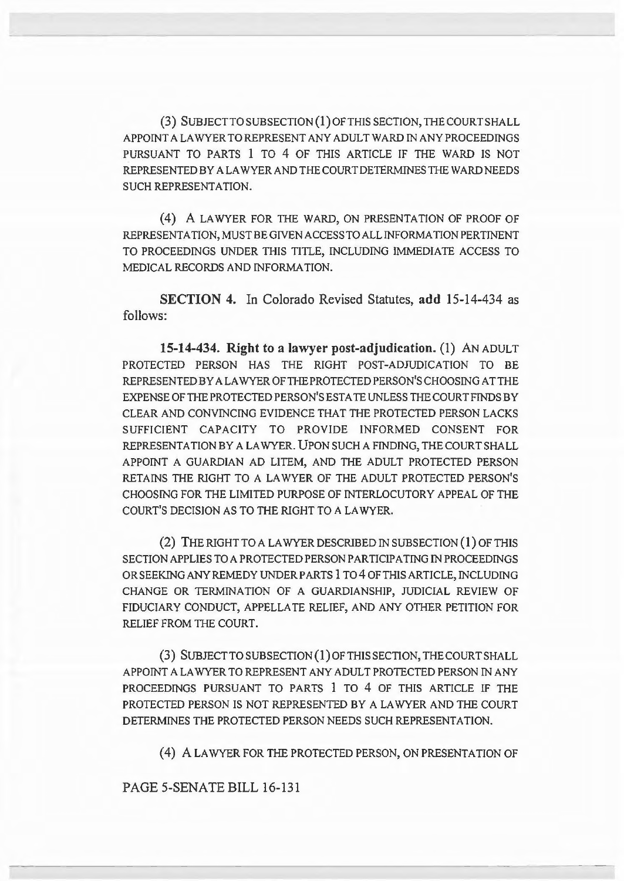(3) SUBJECT TO SUBSECTION (1) OF THIS SECTION, THE COURT SHALL APPOINT A LA WYER TO REPRESENT ANY ADULT WARD IN ANY PROCEEDINGS PURSUANT TO PARTS 1 TO 4 OF THIS ARTICLE IF THE WARD IS NOT REPRESENTED BY A LA WYER AND THE COURT DETERMINES THE WARD NEEDS SUCH REPRESENTATION.

( 4) A LA WYER FOR THE WARD, ON PRESENTATION OF PROOF OF REPRESENTATION, MUST BE GIVEN ACCESS TO ALL INFORMATION PERTINENT TO PROCEEDINGS UNDER THIS TITLE, INCLUDING IMMEDIATE ACCESS TO MEDICAL RECORDS AND INFORMATION.

SECTION 4. In Colorado Revised Statutes, add 15-14-434 as follows:

15-14-434. Right to a lawyer post-adjudication. (1) AN ADULT PROTECTED PERSON HAS THE RIGHT POST-ADJUDICATION TO BE REPRESENTED BY A LAWYER OF THE PROTECTED PERSON'S CHOOSING AT THE EXPENSE OF THE PROTECTED PERSON'S ESTATE UNLESS THE COURT FINDS BY CLEAR AND CONVINCING EVIDENCE THAT THE PROTECTED PERSON LACKS SUFFICIENT CAPACITY TO PROVIDE INFORMED CONSENT FOR REPRESENTATION BY A LA WYER. UPON SUCH A FINDING, THE COURT SHALL APPOINT A GUARDIAN AD LITEM, AND THE ADULT PROTECTED PERSON RETAINS THE RIGHT TO A LAWYER OF THE ADULT PROTECTED PERSON'S CHOOSING FOR THE LIMITED PURPOSE OF INTERLOCUTORY APPEAL OF THE COURT'S DECISION AS TO THE RIGHT TO A LA WYER.

(2) THE RIGHT TO A LAWYER DESCRIBED IN SUBSECTION  $(1)$  OF THIS SECTION APPLIES TO A PROTECTED PERSON PARTICIPATING IN PROCEEDINGS OR SEEKING ANY REMEDY UNDERPARTS 1 T04 OF THIS ARTICLE, INCLUDING CHANGE OR TERMINATION OF A GUARDIANSHIP, JUDICIAL REVIEW OF FIDUCIARY CONDUCT, APPELLATE RELIEF, AND ANY OTHER PETITION FOR RELIEF FROM THE COURT.

(3) SUBJECT TO SUBSECTION (l)OFTHISSECTION, THE COURT SHALL APPOINT A LA WYER TO REPRESENT ANY ADULT PROTECTED PERSON IN ANY PROCEEDINGS PURSUANT TO PARTS 1 TO 4 OF THIS ARTICLE IF THE PROTECTED PERSON IS NOT REPRESENTED BY A LAWYER AND THE COURT DETERMINES THE PROTECTED PERSON NEEDS SUCH REPRESENTATION.

( 4) A LA WYER FOR THE PROTECTED PERSON, ON PRESENTATION OF

PAGE 5-SENATE BILL 16-131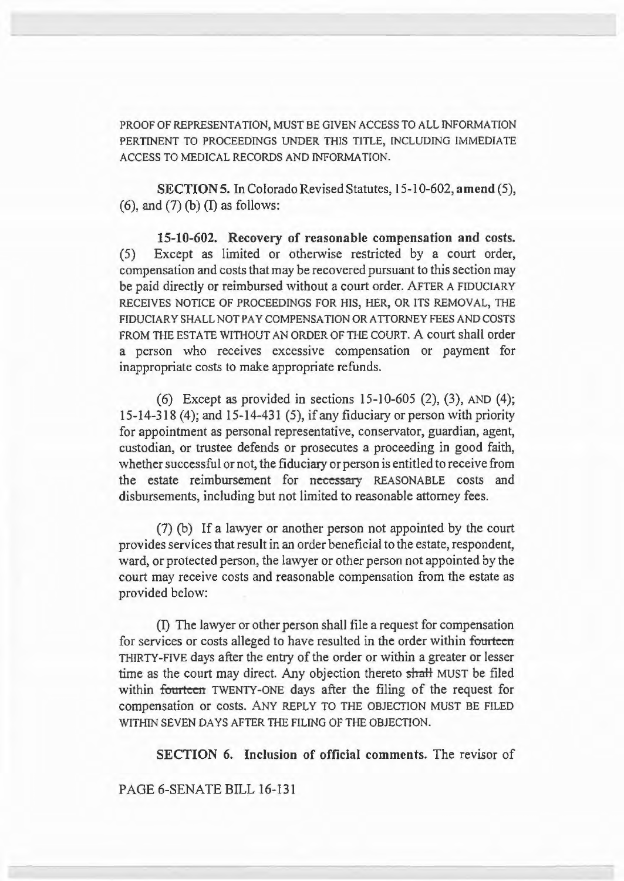PROOF OF REPRESENTATION, MUST BE GIVEN ACCESS TO ALL INFORMATION PERTINENT TO PROCEEDINGS UNDER THIS TITLE, INCLUDING IMMEDIATE ACCESS TO MEDICAL RECORDS AND INFORMATION.

SECTION 5. In Colorado Revised Statutes, 15-10-602, amend (5),  $(6)$ , and  $(7)$  (b) (I) as follows:

15-10-602. Recovery of reasonable compensation and costs. (5) Except as limited or otherwise restricted by a court order, compensation and costs that may be recovered pursuant to this section may be paid directly or reimbursed without a court order. AFTER A FIDUCIARY RECEIVES NOTICE OF PROCEEDINGS FOR HIS, HER, OR ITS REMOVAL, THE FIDUCIARY SHALL NOT PAY COMPENSATION OR ATTORNEY FEES AND COSTS FROM THE ESTATE WITHOUT AN ORDER OF THE COURT. A court shall order a person who receives excessive compensation or payment for inappropriate costs to make appropriate refunds.

(6) Except as provided in sections 15-10-605 (2), (3), AND (4); 15-14-318 (4); and 15-14-431 (5), if any fiduciary or person with priority for appointment as personal representative, conservator, guardian, agent, custodian, or trustee defends or prosecutes a proceeding in good faith, whether successful or not, the fiduciary or person is entitled to receive from the estate reimbursement for necessary REASONABLE costs and disbursements, including but not limited to reasonable attorney fees.

(7) (b) If a lawyer or another person not appointed by the court provides services that result in an order beneficial to the estate, respondent, ward, or protected person, the lawyer or other person not appointed by the court may receive costs and reasonable compensation from the estate as provided below:

(I) The lawyer or other person shall file a request for compensation for services or costs alleged to have resulted in the order within fourteen THIRTY-FIVE days after the entry of the order or within a greater or lesser time as the court may direct. Any objection thereto shall MUST be filed within fourteen TWENTY-ONE days after the filing of the request for compensation or costs. ANY REPLY TO THE OBJECTION MUST BE FILED WITHIN SEVEN DAYS AFTER THE FILING OF THE OBJECTION.

SECTION 6. Inclusion of official comments. The revisor of

PAGE 6-SENATE BILL 16-131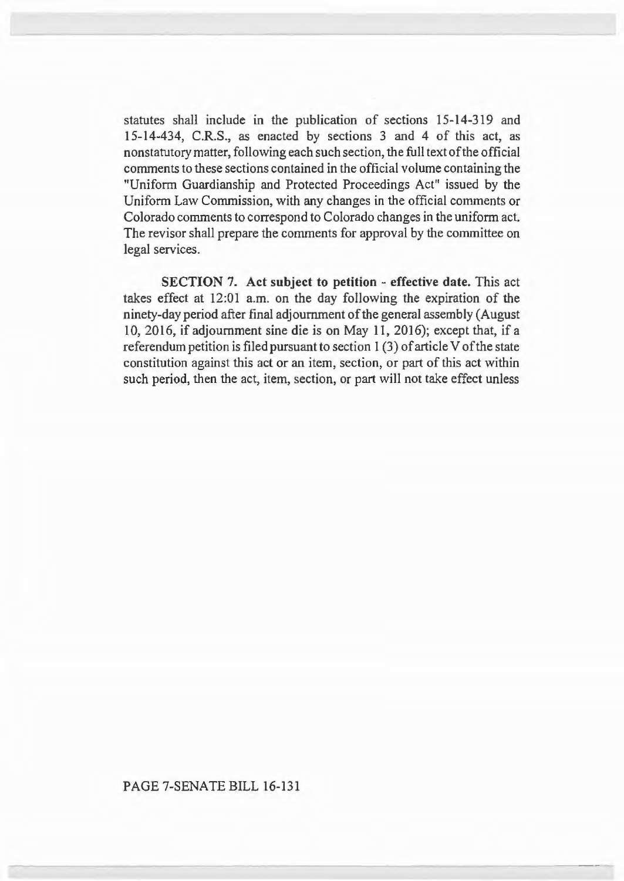statutes shall include in the publication of sections 15-14-319 and 15-14-434, C.R.S., as enacted by sections 3 and 4 of this act, as nonstatutory matter, following each such section, the full text of the official comments to these sections contained in the official volume containing the "Uniform Guardianship and Protected Proceedings Act" issued by the Uniform Law Commission, with any changes in the official comments or Colorado comments to correspond to Colorado changes in the uniform act. The revisor shall prepare the comments for approval by the committee on legal services.

SECTION 7. Act subject to petition - effective date. This act takes effect at 12:01 a.m. on the day following the expiration of the ninety-day period after final adjournment of the general assembly (August 10, 2016, if adjournment sine die is on May 11, 2016); except that, if a referendum petition is filed pursuant to section I (3) of article V of the state constitution against this act or an item, section, or part of this act within such period, then the act, item, section, or part will not take effect unless

## PAGE 7-SENATE BILL 16-131